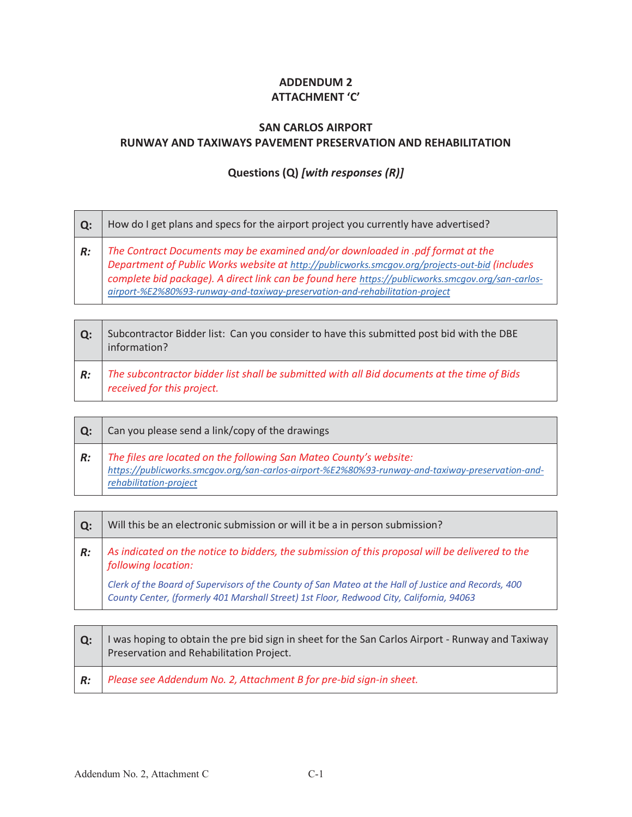## **ADDENDUM 2 ATTACHMENT 'C'**

## **SAN CARLOS AIRPORT RUNWAY AND TAXIWAYS PAVEMENT PRESERVATION AND REHABILITATION**

## **Questions (Q)** *[with responses (R)]*

| $\mathbf{O}$ : | How do I get plans and specs for the airport project you currently have advertised?                                                                                                                                                                                                                                                                                |
|----------------|--------------------------------------------------------------------------------------------------------------------------------------------------------------------------------------------------------------------------------------------------------------------------------------------------------------------------------------------------------------------|
| R:             | The Contract Documents may be examined and/or downloaded in .pdf format at the<br>Department of Public Works website at http://publicworks.smcgov.org/projects-out-bid (includes complete bid package). A direct link can be found here https://publicworks.smcgov.org/san-carlos-<br>airport-%E2%80%93-runway-and-taxiway-preservation-and-rehabilitation-project |

| $\mathbf{Q}$ : | Subcontractor Bidder list: Can you consider to have this submitted post bid with the DBE<br>information?                  |
|----------------|---------------------------------------------------------------------------------------------------------------------------|
| R:             | The subcontractor bidder list shall be submitted with all Bid documents at the time of Bids<br>received for this project. |

| Q: | Can you please send a link/copy of the drawings                                                                                                                                                  |
|----|--------------------------------------------------------------------------------------------------------------------------------------------------------------------------------------------------|
| R: | The files are located on the following San Mateo County's website:<br>https://publicworks.smcqov.org/san-carlos-airport-%E2%80%93-runway-and-taxiway-preservation-and-<br>rehabilitation-project |

| $Q$ : | Will this be an electronic submission or will it be a in person submission?                                                                                                                      |
|-------|--------------------------------------------------------------------------------------------------------------------------------------------------------------------------------------------------|
| R:    | As indicated on the notice to bidders, the submission of this proposal will be delivered to the<br>following location:                                                                           |
|       | Clerk of the Board of Supervisors of the County of San Mateo at the Hall of Justice and Records, 400<br>County Center, (formerly 401 Marshall Street) 1st Floor, Redwood City, California, 94063 |

| l O: | I was hoping to obtain the pre bid sign in sheet for the San Carlos Airport - Runway and Taxiway<br>Preservation and Rehabilitation Project. |
|------|----------------------------------------------------------------------------------------------------------------------------------------------|
| R:   | Please see Addendum No. 2, Attachment B for pre-bid sign-in sheet.                                                                           |